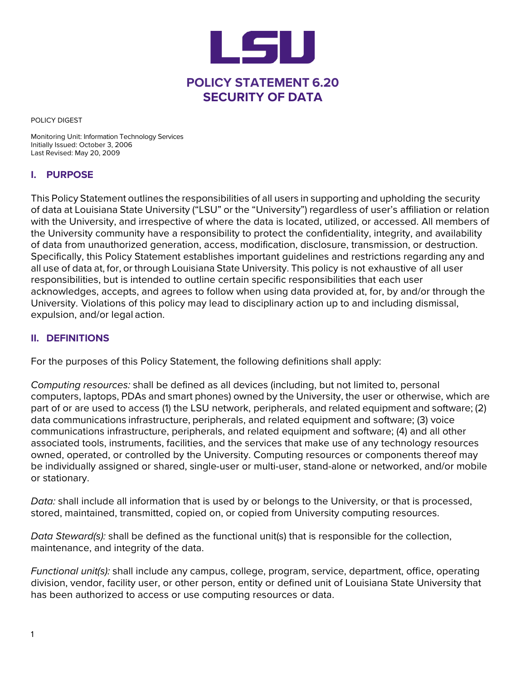

POLICY DIGEST

Monitoring Unit: Information Technology Services Initially Issued: October 3, 2006 Last Revised: May 20, 2009

#### **I. PURPOSE**

This Policy Statement outlines the responsibilities of all users in supporting and upholding the security of data at Louisiana State University ("LSU" or the "University") regardless of user's affiliation or relation with the University, and irrespective of where the data is located, utilized, or accessed. All members of the University community have a responsibility to protect the confidentiality, integrity, and availability of data from unauthorized generation, access, modification, disclosure, transmission, or destruction. Specifically, this Policy Statement establishes important guidelines and restrictions regarding any and all use of data at, for, or through Louisiana State University. This policy is not exhaustive of all user responsibilities, but is intended to outline certain specific responsibilities that each user acknowledges, accepts, and agrees to follow when using data provided at, for, by and/or through the University. Violations of this policy may lead to disciplinary action up to and including dismissal, expulsion, and/or legal action.

#### **II. DEFINITIONS**

For the purposes of this Policy Statement, the following definitions shall apply:

*Computing resources:* shall be defined as all devices (including, but not limited to, personal computers, laptops, PDAs and smart phones) owned by the University, the user or otherwise, which are part of or are used to access (1) the LSU network, peripherals, and related equipment and software; (2) data communications infrastructure, peripherals, and related equipment and software; (3) voice communications infrastructure, peripherals, and related equipment and software; (4) and all other associated tools, instruments, facilities, and the services that make use of any technology resources owned, operated, or controlled by the University. Computing resources or components thereof may be individually assigned or shared, single-user or multi-user, stand-alone or networked, and/or mobile or stationary.

*Data:* shall include all information that is used by or belongs to the University, or that is processed, stored, maintained, transmitted, copied on, or copied from University computing resources.

*Data Steward(s):* shall be defined as the functional unit(s) that is responsible for the collection, maintenance, and integrity of the data.

*Functional unit(s):* shall include any campus, college, program, service, department, office, operating division, vendor, facility user, or other person, entity or defined unit of Louisiana State University that has been authorized to access or use computing resources or data.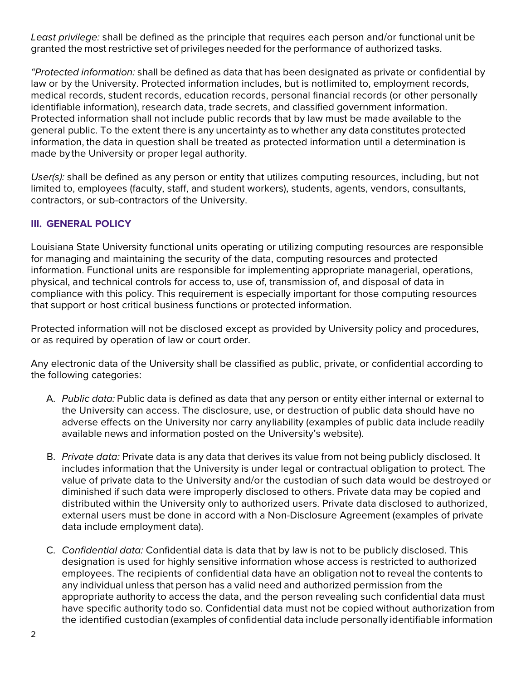*Least privilege:* shall be defined as the principle that requires each person and/or functional unit be granted the most restrictive set of privileges needed for the performance of authorized tasks.

*"Protected information:* shall be defined as data that has been designated as private or confidential by law or by the University. Protected information includes, but is notlimited to, employment records, medical records, student records, education records, personal financial records (or other personally identifiable information), research data, trade secrets, and classified government information. Protected information shall not include public records that by law must be made available to the general public. To the extent there is any uncertainty as to whether any data constitutes protected information, the data in question shall be treated as protected information until a determination is made by the University or proper legal authority.

*User(s):* shall be defined as any person or entity that utilizes computing resources, including, but not limited to, employees (faculty, staff, and student workers), students, agents, vendors, consultants, contractors, or sub-contractors of the University.

# **III. GENERAL POLICY**

Louisiana State University functional units operating or utilizing computing resources are responsible for managing and maintaining the security of the data, computing resources and protected information. Functional units are responsible for implementing appropriate managerial, operations, physical, and technical controls for access to, use of, transmission of, and disposal of data in compliance with this policy. This requirement is especially important for those computing resources that support or host critical business functions or protected information.

Protected information will not be disclosed except as provided by University policy and procedures, or as required by operation of law or court order.

Any electronic data of the University shall be classified as public, private, or confidential according to the following categories:

- A. *Public data:* Public data is defined as data that any person or entity either internal or external to the University can access. The disclosure, use, or destruction of public data should have no adverse effects on the University nor carry any liability (examples of public data include readily available news and information posted on the University's website).
- B. *Private data:* Private data is any data that derives its value from not being publicly disclosed. It includes information that the University is under legal or contractual obligation to protect. The value of private data to the University and/or the custodian of such data would be destroyed or diminished if such data were improperly disclosed to others. Private data may be copied and distributed within the University only to authorized users. Private data disclosed to authorized, external users must be done in accord with a Non-Disclosure Agreement (examples of private data include employment data).
- C. *Confidential data:* Confidential data is data that by law is not to be publicly disclosed. This designation is used for highly sensitive information whose access is restricted to authorized employees. The recipients of confidential data have an obligation not to reveal the contents to any individual unless that person has a valid need and authorized permission from the appropriate authority to access the data, and the person revealing such confidential data must have specific authority todo so. Confidential data must not be copied without authorization from the identified custodian (examples of confidential data include personally identifiable information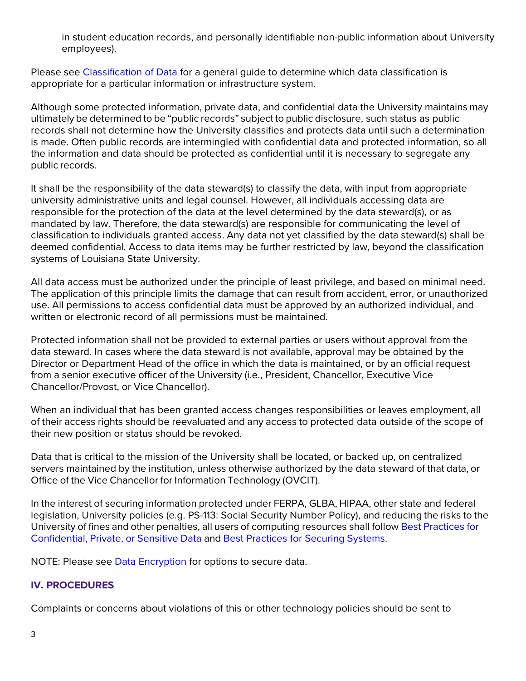in student education records, and personally identifiable non-public information about University employees).

Please see [Classification of Data](http://uiswcmsweb.prod.lsu.edu/ITS/ITS_Security/Data_Management/Data_Classification/item762.html) for a general guide to determine which data classification is appropriate for a particular information or infrastructure system.

Although some protected information, private data, and confidential data the University maintains may ultimately be determined to be "public records" subject to public disclosure, such status as public records shall not determine how the University classifies and protects data until such a determination is made. Often public records are intermingled with confidential data and protected information, so all the information and data should be protected as confidential until it is necessary to segregate any public records.

It shall be the responsibility of the data steward(s) to classify the data, with input from appropriate university administrative units and legal counsel. However, all individuals accessing data are responsible for the protection of the data at the level determined by the data steward(s), or as mandated by law. Therefore, the data steward(s) are responsible for communicating the level of classification to individuals granted access. Any data not yet classified by the data steward(s) shall be deemed confidential. Access to data items may be further restricted by law, beyond the classification systems of Louisiana State University.

All data access must be authorized under the principle of least privilege, and based on minimal need. The application of this principle limits the damage that can result from accident, error, or unauthorized use. All permissions to access confidential data must be approved by an authorized individual, and written or electronic record of all permissions must be maintained.

Protected information shall not be provided to external parties or users without approval from the data steward. In cases where the data steward is not available, approval may be obtained by the Director or Department Head of the office in which the data is maintained, or by an official request from a senior executive officer of the University (i.e., President, Chancellor, Executive Vice Chancellor/Provost, or Vice Chancellor).

When an individual that has been granted access changes responsibilities or leaves employment, all of their access rights should be reevaluated and any access to protected data outside of the scope of their new position or status should be revoked.

Data that is critical to the mission of the University shall be located, or backed up, on centralized servers maintained by the institution, unless otherwise authorized by the data steward of that data, or Office of the Vice Chancellor for Information Technology (OVCIT).

In the interest of securing information protected under FERPA, GLBA, HIPAA, other state and federal legislation, University policies (e.g. PS-113: Social Security Number Policy), and reducing the risks to the University of fines and other penalties, all users of computing resources shall follow Best [Practices](http://uiswcmsweb.prod.lsu.edu/ITS/ITS_Security/Best_Practices/Sensitive_Data/item862.html) for [Confidential,](http://uiswcmsweb.prod.lsu.edu/ITS/ITS_Security/Best_Practices/Sensitive_Data/item862.html) Private, or Sensitive Data and [Best](http://uiswcmsweb.prod.lsu.edu/ITS/ITS_Security/Best_Practices/Securing_Systems/item860.html) [Practices for Securing](http://uiswcmsweb.prod.lsu.edu/ITS/ITS_Security/Best_Practices/Securing_Systems/item860.html) Systems.

NOTE: Please see [Data Encryption f](http://uiswcmsweb.prod.lsu.edu/ITS/ITS_Security/files/item866.pdf)or options to secure data.

### **IV. PROCEDURES**

Complaints or concerns about violations of this or other technology policies should be sent to